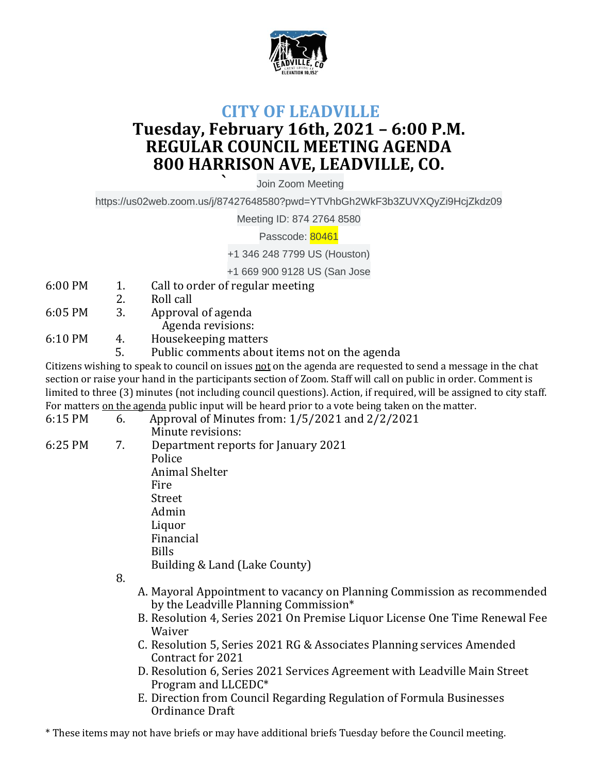

## **CITY OF LEADVILLE Tuesday, February 16th, 2021 – 6:00 P.M. REGULAR COUNCIL MEETING AGENDA 800 HARRISON AVE, LEADVILLE, CO.**

**`** Join Zoom Meeting

https://us02web.zoom.us/j/87427648580?pwd=YTVhbGh2WkF3b3ZUVXQyZi9HcjZkdz09

Meeting ID: 874 2764 8580

Passcode: 80461

+1 346 248 7799 US (Houston)

+1 669 900 9128 US (San Jose

- 6:00 PM 1. Call to order of regular meeting
- 2. Roll call
- 6:05 PM 3. Approval of agenda

Agenda revisions:

- 6:10 PM 4. Housekeeping matters
	- 5. Public comments about items not on the agenda

Citizens wishing to speak to council on issues not on the agenda are requested to send a message in the chat section or raise your hand in the participants section of Zoom. Staff will call on public in order. Comment is limited to three (3) minutes (not including council questions). Action, if required, will be assigned to city staff. For matters on the agenda public input will be heard prior to a vote being taken on the matter.

6:15 PM 6. Approval of Minutes from: 1/5/2021 and 2/2/2021 Minute revisions: 6:25 PM 7. Department reports for January 2021 Police Animal Shelter Fire Street Admin Liquor Financial Bills Building & Land (Lake County)

8.

- A. Mayoral Appointment to vacancy on Planning Commission as recommended by the Leadville Planning Commission\*
- B. Resolution 4, Series 2021 On Premise Liquor License One Time Renewal Fee Waiver
- C. Resolution 5, Series 2021 RG & Associates Planning services Amended Contract for 2021
- D. Resolution 6, Series 2021 Services Agreement with Leadville Main Street Program and LLCEDC\*
- E. Direction from Council Regarding Regulation of Formula Businesses Ordinance Draft

\* These items may not have briefs or may have additional briefs Tuesday before the Council meeting.